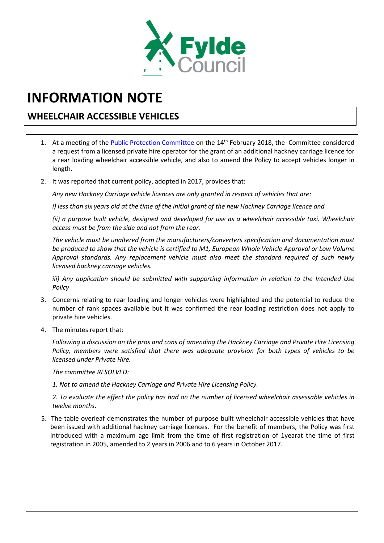

## **INFORMATION NOTE**

## **WHEELCHAIR ACCESSIBLE VEHICLES**

- 1. At a meeting of the [Public Protection Committee](https://fylde.cmis.uk.com/fylde/Document.ashx?czJKcaeAi5tUFL1DTL2UE4zNRBcoShgo=CZpDR6XSHEiraeQMxBwr%2foTZ16sBV3A76bKjZ9KSKXoISUG%2fFGOHkg%3d%3d&rUzwRPf%2bZ3zd4E7Ikn8Lyw%3d%3d=pwRE6AGJFLDNlh225F5QMaQWCtPHwdhUfCZ%2fLUQzgA2uL5jNRG4jdQ%3d%3d&mCTIbCubSFfXsDGW9IXnlg%3d%3d=hFflUdN3100%3d&kCx1AnS9%2fpWZQ40DXFvdEw%3d%3d=hFflUdN3100%3d&uJovDxwdjMPoYv%2bAJvYtyA%3d%3d=ctNJFf55vVA%3d&FgPlIEJYlotS%2bYGoBi5olA%3d%3d=NHdURQburHA%3d&d9Qjj0ag1Pd993jsyOJqFvmyB7X0CSQK=ctNJFf55vVA%3d&WGewmoAfeNR9xqBux0r1Q8Za60lavYmz=ctNJFf55vVA%3d&WGewmoAfeNQ16B2MHuCpMRKZMwaG1PaO=ctNJFf55vVA%3d) on the 14<sup>th</sup> February 2018, the Committee considered a request from a licensed private hire operator for the grant of an additional hackney carriage licence for a rear loading wheelchair accessible vehicle, and also to amend the Policy to accept vehicles longer in length.
- 2. It was reported that current policy, adopted in 2017, provides that:

*Any new Hackney Carriage vehicle licences are only granted in respect of vehicles that are:*

*i) less than six years old at the time of the initial grant of the new Hackney Carriage licence and*

*(ii) a purpose built vehicle, designed and developed for use as a wheelchair accessible taxi. Wheelchair access must be from the side and not from the rear.*

*The vehicle must be unaltered from the manufacturers/converters specification and documentation must be produced to show that the vehicle is certified to M1, European Whole Vehicle Approval or Low Volume Approval standards. Any replacement vehicle must also meet the standard required of such newly licensed hackney carriage vehicles.*

*iii) Any application should be submitted with supporting information in relation to the Intended Use Policy*

- 3. Concerns relating to rear loading and longer vehicles were highlighted and the potential to reduce the number of rank spaces available but it was confirmed the rear loading restriction does not apply to private hire vehicles.
- 4. The minutes report that:

*Following a discussion on the pros and cons of amending the Hackney Carriage and Private Hire Licensing Policy, members were satisfied that there was adequate provision for both types of vehicles to be licensed under Private Hire.*

*The committee RESOLVED:*

*1. Not to amend the Hackney Carriage and Private Hire Licensing Policy.*

*2. To evaluate the effect the policy has had on the number of licensed wheelchair assessable vehicles in twelve months*.

5. The table overleaf demonstrates the number of purpose built wheelchair accessible vehicles that have been issued with additional hackney carriage licences. For the benefit of members, the Policy was first introduced with a maximum age limit from the time of first registration of 1yearat the time of first registration in 2005, amended to 2 years in 2006 and to 6 years in October 2017.